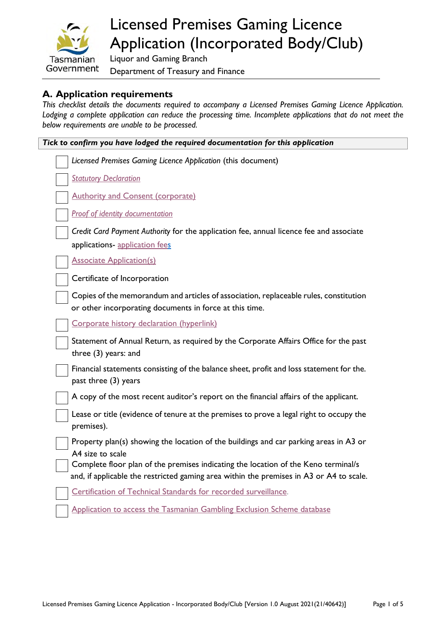

# Licensed Premises Gaming Licence Application (Incorporated Body/Club)

Liquor and Gaming Branch Department of Treasury and Finance

# **A. Application requirements**

*This checklist details the documents required to accompany a Licensed Premises Gaming Licence Application.*  Lodging a complete application can reduce the processing time. Incomplete applications that do not meet the *below requirements are unable to be processed.*

| Tick to confirm you have lodged the required documentation for this application                                                                  |  |  |
|--------------------------------------------------------------------------------------------------------------------------------------------------|--|--|
| Licensed Premises Gaming Licence Application (this document)                                                                                     |  |  |
| <b>Statutory Declaration</b>                                                                                                                     |  |  |
| <b>Authority and Consent (corporate)</b>                                                                                                         |  |  |
| <b>Proof of identity documentation</b>                                                                                                           |  |  |
| Credit Card Payment Authority for the application fee, annual licence fee and associate<br>applications- application fees                        |  |  |
| <b>Associate Application(s)</b>                                                                                                                  |  |  |
| Certificate of Incorporation                                                                                                                     |  |  |
| Copies of the memorandum and articles of association, replaceable rules, constitution<br>or other incorporating documents in force at this time. |  |  |
| Corporate history declaration (hyperlink)                                                                                                        |  |  |
| Statement of Annual Return, as required by the Corporate Affairs Office for the past<br>three (3) years: and                                     |  |  |
| Financial statements consisting of the balance sheet, profit and loss statement for the.<br>past three (3) years                                 |  |  |
| A copy of the most recent auditor's report on the financial affairs of the applicant.                                                            |  |  |
| Lease or title (evidence of tenure at the premises to prove a legal right to occupy the<br>premises).                                            |  |  |
| Property plan(s) showing the location of the buildings and car parking areas in A3 or<br>A4 size to scale                                        |  |  |
| Complete floor plan of the premises indicating the location of the Keno terminal/s                                                               |  |  |
| and, if applicable the restricted gaming area within the premises in A3 or A4 to scale.                                                          |  |  |
| Certification of Technical Standards for recorded surveillance.                                                                                  |  |  |
| Application to access the Tasmanian Gambling Exclusion Scheme database                                                                           |  |  |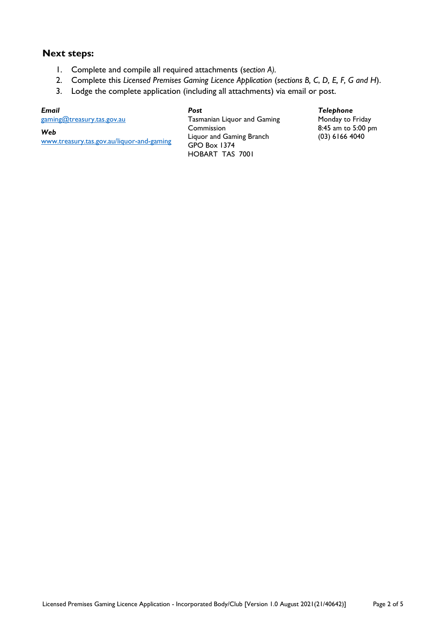### **Next steps:**

- 1. Complete and compile all required attachments (s*ection A).*
- 2. Complete this *Licensed Premises Gaming Licence Application* (*sections B, C*, *D, E, F, G and H*).
- 3. Lodge the complete application (including all attachments) via email or post.

*Post*

#### *Email*

[gaming@treasury.tas.gov.au](mailto:gaming@treasury.tas.gov.au) 

*Web* 

[www.treasury.tas.gov.au/liquor-and-gaming](http://www.treasury.tas.gov.au/liquor-and-gaming)

Tasmanian Liquor and Gaming Commission Liquor and Gaming Branch GPO Box 1374 HOBART TAS 7001

#### *Telephone*

Monday to Friday 8:45 am to 5:00 pm (03) 6166 4040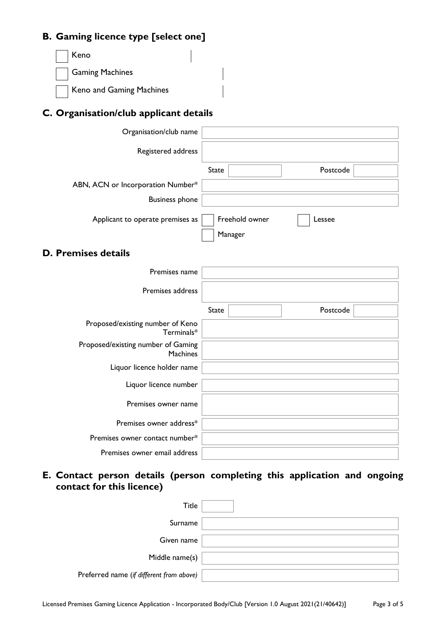# **B. Gaming licence type [select one]**

Keno Gaming Machines Keno and Gaming Machines

# **C. Organisation/club applicant details**

| Organisation/club name            |                |          |
|-----------------------------------|----------------|----------|
| Registered address                |                |          |
|                                   | State          | Postcode |
| ABN, ACN or Incorporation Number* |                |          |
| <b>Business phone</b>             |                |          |
| Applicant to operate premises as  | Freehold owner | Lessee   |
|                                   | Manager        |          |

# **D. Premises details**

| Premises name                                         |              |  |          |  |
|-------------------------------------------------------|--------------|--|----------|--|
| Premises address                                      |              |  |          |  |
|                                                       | <b>State</b> |  | Postcode |  |
| Proposed/existing number of Keno<br>Terminals*        |              |  |          |  |
| Proposed/existing number of Gaming<br><b>Machines</b> |              |  |          |  |
| Liquor licence holder name                            |              |  |          |  |
| Liquor licence number                                 |              |  |          |  |
| Premises owner name                                   |              |  |          |  |
| Premises owner address*                               |              |  |          |  |
| Premises owner contact number*                        |              |  |          |  |
| Premises owner email address                          |              |  |          |  |

**E. Contact person details (person completing this application and ongoing contact for this licence)** 

| Title                                    |  |
|------------------------------------------|--|
| Surname                                  |  |
| Given name                               |  |
| Middle name(s)                           |  |
| Preferred name (if different from above) |  |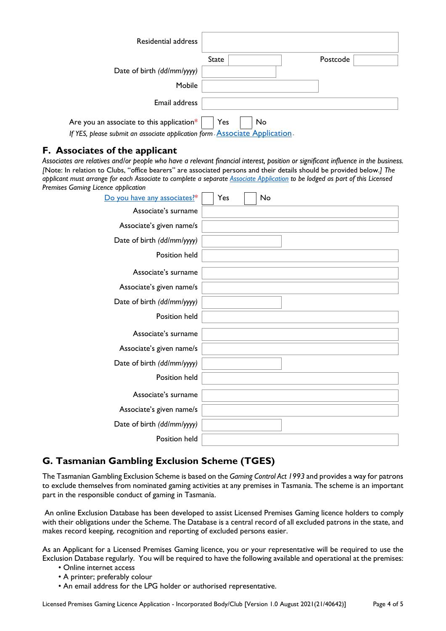| Residential address                                                                |           |          |
|------------------------------------------------------------------------------------|-----------|----------|
|                                                                                    | State     | Postcode |
| Date of birth (dd/mm/yyyy)                                                         |           |          |
| Mobile                                                                             |           |          |
| Email address                                                                      |           |          |
| Are you an associate to this application*                                          | Yes<br>No |          |
| If YES, please submit an associate application form <b>Associate Application</b> . |           |          |

## **F. Associates of the applicant**

*Associates are relatives and/or people who have a relevant financial interest, position or significant influence in the business. [*Note: In relation to Clubs, "office bearers" are associated persons and their details should be provided below.*] The applicant must arrange for each Associate to complete a separate [Associate Application](https://www.treasury.tas.gov.au/Documents/Associate%20Application.pdf) to be lodged as part of this Licensed Premises Gaming Licence application*

| Do you have any associates?* | Yes<br><b>No</b> |
|------------------------------|------------------|
| Associate's surname          |                  |
| Associate's given name/s     |                  |
| Date of birth (dd/mm/yyyy)   |                  |
| Position held                |                  |
| Associate's surname          |                  |
| Associate's given name/s     |                  |
| Date of birth (dd/mm/yyyy)   |                  |
| Position held                |                  |
| Associate's surname          |                  |
| Associate's given name/s     |                  |
| Date of birth (dd/mm/yyyy)   |                  |
| Position held                |                  |
| Associate's surname          |                  |
| Associate's given name/s     |                  |
| Date of birth (dd/mm/yyyy)   |                  |
| Position held                |                  |

## **G. Tasmanian Gambling Exclusion Scheme (TGES)**

The Tasmanian Gambling Exclusion Scheme is based on the *Gaming Control Act 1993* and provides a way for patrons to exclude themselves from nominated gaming activities at any premises in Tasmania. The scheme is an important part in the responsible conduct of gaming in Tasmania.

 An online Exclusion Database has been developed to assist Licensed Premises Gaming licence holders to comply with their obligations under the Scheme. The Database is a central record of all excluded patrons in the state, and makes record keeping, recognition and reporting of excluded persons easier.

As an Applicant for a Licensed Premises Gaming licence, you or your representative will be required to use the Exclusion Database regularly. You will be required to have the following available and operational at the premises:

- Online internet access
- A printer; preferably colour
- An email address for the LPG holder or authorised representative.